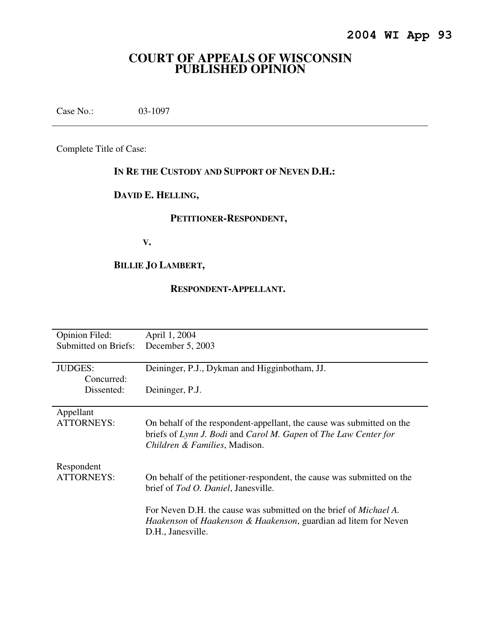# **COURT OF APPEALS OF WISCONSIN PUBLISHED OPINION**

Case No.: 03-1097

Complete Title of Case:

## **IN RE THE CUSTODY AND SUPPORT OF NEVEN D.H.:**

# **DAVID E. HELLING,**

## **PETITIONER-RESPONDENT,**

 **V.** 

# **BILLIE JO LAMBERT,**

## **RESPONDENT-APPELLANT.**

| Opinion Filed:<br>Submitted on Briefs: | April 1, 2004<br>December 5, 2003                                                                                                                                                    |
|----------------------------------------|--------------------------------------------------------------------------------------------------------------------------------------------------------------------------------------|
| <b>JUDGES:</b><br>Concurred:           | Deininger, P.J., Dykman and Higginbotham, JJ.                                                                                                                                        |
| Dissented:                             | Deininger, P.J.                                                                                                                                                                      |
| Appellant<br><b>ATTORNEYS:</b>         | On behalf of the respondent-appellant, the cause was submitted on the<br>briefs of Lynn J. Bodi and Carol M. Gapen of The Law Center for<br>Children & Families, Madison.            |
| Respondent<br>ATTORNEYS:               | On behalf of the petitioner-respondent, the cause was submitted on the<br>brief of Tod O. Daniel, Janesville.                                                                        |
|                                        | For Neven D.H. the cause was submitted on the brief of <i>Michael A</i> .<br><i>Haakenson</i> of <i>Haakenson &amp; Haakenson</i> , guardian ad litem for Neven<br>D.H., Janesville. |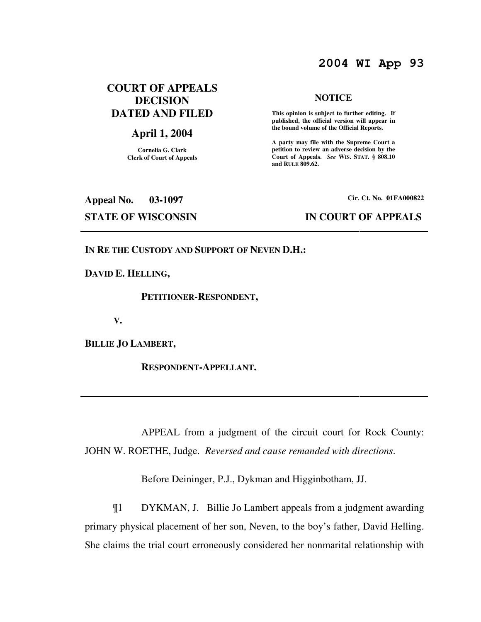## **2004 WI App 93**

## **COURT OF APPEALS DECISION DATED AND FILED**

## **April 1, 2004**

**Cornelia G. Clark Clerk of Court of Appeals**

#### **NOTICE**

 **This opinion is subject to further editing. If published, the official version will appear in the bound volume of the Official Reports.** 

**A party may file with the Supreme Court a petition to review an adverse decision by the Court of Appeals.** *See* **WIS. STAT. § 808.10 and RULE 809.62.** 

**Appeal No. 03-1097 Cir. Ct. No. 01FA000822 STATE OF WISCONSIN IN COURT OF APPEALS** 

**IN RE THE CUSTODY AND SUPPORT OF NEVEN D.H.:** 

**DAVID E. HELLING,** 

 **PETITIONER-RESPONDENT,** 

 **V.** 

**BILLIE JO LAMBERT,** 

 **RESPONDENT-APPELLANT.** 

 APPEAL from a judgment of the circuit court for Rock County: JOHN W. ROETHE, Judge. *Reversed and cause remanded with directions*.

Before Deininger, P.J., Dykman and Higginbotham, JJ.

¶1 DYKMAN, J. Billie Jo Lambert appeals from a judgment awarding primary physical placement of her son, Neven, to the boy's father, David Helling. She claims the trial court erroneously considered her nonmarital relationship with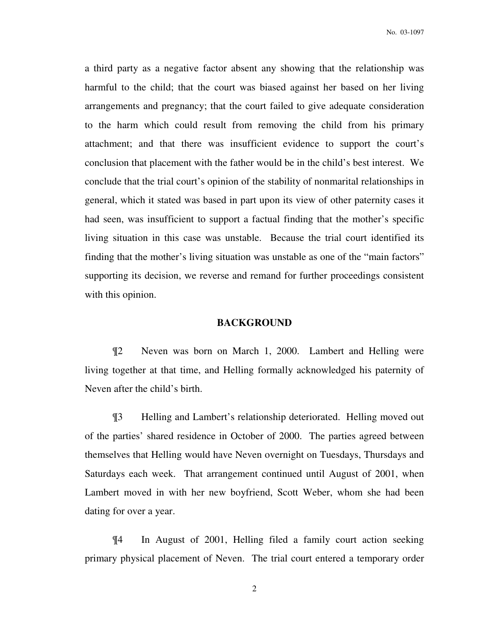a third party as a negative factor absent any showing that the relationship was harmful to the child; that the court was biased against her based on her living arrangements and pregnancy; that the court failed to give adequate consideration to the harm which could result from removing the child from his primary attachment; and that there was insufficient evidence to support the court's conclusion that placement with the father would be in the child's best interest. We conclude that the trial court's opinion of the stability of nonmarital relationships in general, which it stated was based in part upon its view of other paternity cases it had seen, was insufficient to support a factual finding that the mother's specific living situation in this case was unstable. Because the trial court identified its finding that the mother's living situation was unstable as one of the "main factors" supporting its decision, we reverse and remand for further proceedings consistent with this opinion.

#### **BACKGROUND**

¶2 Neven was born on March 1, 2000. Lambert and Helling were living together at that time, and Helling formally acknowledged his paternity of Neven after the child's birth.

¶3 Helling and Lambert's relationship deteriorated. Helling moved out of the parties' shared residence in October of 2000. The parties agreed between themselves that Helling would have Neven overnight on Tuesdays, Thursdays and Saturdays each week. That arrangement continued until August of 2001, when Lambert moved in with her new boyfriend, Scott Weber, whom she had been dating for over a year.

¶4 In August of 2001, Helling filed a family court action seeking primary physical placement of Neven. The trial court entered a temporary order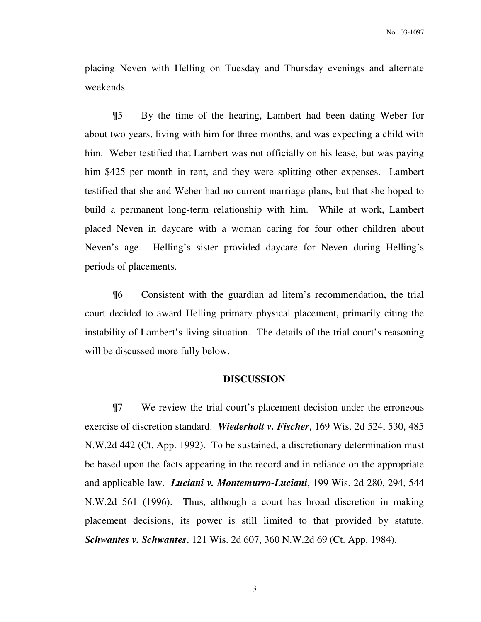placing Neven with Helling on Tuesday and Thursday evenings and alternate weekends.

¶5 By the time of the hearing, Lambert had been dating Weber for about two years, living with him for three months, and was expecting a child with him. Weber testified that Lambert was not officially on his lease, but was paying him \$425 per month in rent, and they were splitting other expenses. Lambert testified that she and Weber had no current marriage plans, but that she hoped to build a permanent long-term relationship with him. While at work, Lambert placed Neven in daycare with a woman caring for four other children about Neven's age. Helling's sister provided daycare for Neven during Helling's periods of placements.

¶6 Consistent with the guardian ad litem's recommendation, the trial court decided to award Helling primary physical placement, primarily citing the instability of Lambert's living situation. The details of the trial court's reasoning will be discussed more fully below.

### **DISCUSSION**

¶7 We review the trial court's placement decision under the erroneous exercise of discretion standard. *Wiederholt v. Fischer*, 169 Wis. 2d 524, 530, 485 N.W.2d 442 (Ct. App. 1992). To be sustained, a discretionary determination must be based upon the facts appearing in the record and in reliance on the appropriate and applicable law. *Luciani v. Montemurro-Luciani*, 199 Wis. 2d 280, 294, 544 N.W.2d 561 (1996). Thus, although a court has broad discretion in making placement decisions, its power is still limited to that provided by statute. *Schwantes v. Schwantes*, 121 Wis. 2d 607, 360 N.W.2d 69 (Ct. App. 1984).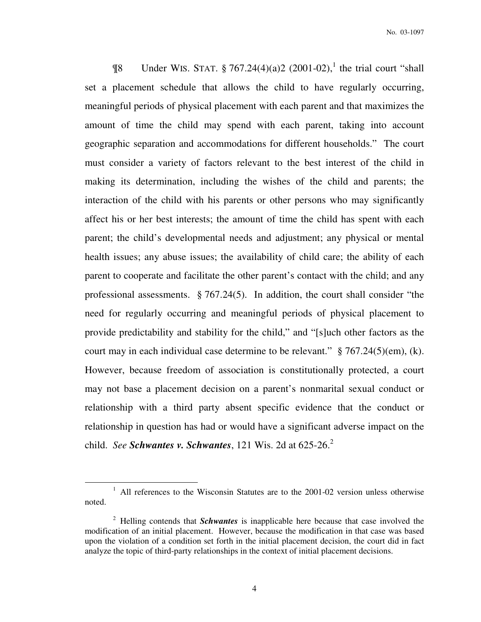**The Under WIS. STAT.** § 767.24(4)(a)2 (2001-02),<sup>1</sup> the trial court "shall set a placement schedule that allows the child to have regularly occurring, meaningful periods of physical placement with each parent and that maximizes the amount of time the child may spend with each parent, taking into account geographic separation and accommodations for different households." The court must consider a variety of factors relevant to the best interest of the child in making its determination, including the wishes of the child and parents; the interaction of the child with his parents or other persons who may significantly affect his or her best interests; the amount of time the child has spent with each parent; the child's developmental needs and adjustment; any physical or mental health issues; any abuse issues; the availability of child care; the ability of each parent to cooperate and facilitate the other parent's contact with the child; and any professional assessments. § 767.24(5). In addition, the court shall consider "the need for regularly occurring and meaningful periods of physical placement to provide predictability and stability for the child," and "[s]uch other factors as the court may in each individual case determine to be relevant." § 767.24(5)(em), (k). However, because freedom of association is constitutionally protected, a court may not base a placement decision on a parent's nonmarital sexual conduct or relationship with a third party absent specific evidence that the conduct or relationship in question has had or would have a significant adverse impact on the child. *See Schwantes v. Schwantes*, 121 Wis. 2d at  $625-26$ <sup>2</sup>

 $\overline{a}$ 

<sup>&</sup>lt;sup>1</sup> All references to the Wisconsin Statutes are to the 2001-02 version unless otherwise noted.

<sup>2</sup> Helling contends that *Schwantes* is inapplicable here because that case involved the modification of an initial placement. However, because the modification in that case was based upon the violation of a condition set forth in the initial placement decision, the court did in fact analyze the topic of third-party relationships in the context of initial placement decisions.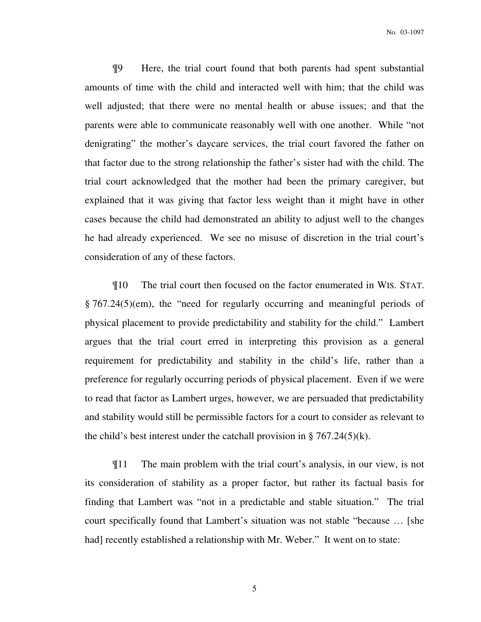¶9 Here, the trial court found that both parents had spent substantial amounts of time with the child and interacted well with him; that the child was well adjusted; that there were no mental health or abuse issues; and that the parents were able to communicate reasonably well with one another. While "not denigrating" the mother's daycare services, the trial court favored the father on that factor due to the strong relationship the father's sister had with the child. The trial court acknowledged that the mother had been the primary caregiver, but explained that it was giving that factor less weight than it might have in other cases because the child had demonstrated an ability to adjust well to the changes he had already experienced. We see no misuse of discretion in the trial court's consideration of any of these factors.

¶10 The trial court then focused on the factor enumerated in WIS. STAT. § 767.24(5)(em), the "need for regularly occurring and meaningful periods of physical placement to provide predictability and stability for the child." Lambert argues that the trial court erred in interpreting this provision as a general requirement for predictability and stability in the child's life, rather than a preference for regularly occurring periods of physical placement. Even if we were to read that factor as Lambert urges, however, we are persuaded that predictability and stability would still be permissible factors for a court to consider as relevant to the child's best interest under the catchall provision in  $\S 767.24(5)(k)$ .

¶11 The main problem with the trial court's analysis, in our view, is not its consideration of stability as a proper factor, but rather its factual basis for finding that Lambert was "not in a predictable and stable situation." The trial court specifically found that Lambert's situation was not stable "because … [she had] recently established a relationship with Mr. Weber." It went on to state: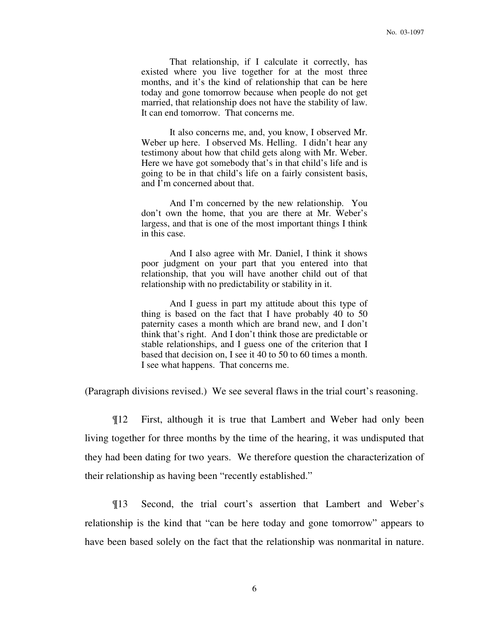That relationship, if I calculate it correctly, has existed where you live together for at the most three months, and it's the kind of relationship that can be here today and gone tomorrow because when people do not get married, that relationship does not have the stability of law. It can end tomorrow. That concerns me.

It also concerns me, and, you know, I observed Mr. Weber up here. I observed Ms. Helling. I didn't hear any testimony about how that child gets along with Mr. Weber. Here we have got somebody that's in that child's life and is going to be in that child's life on a fairly consistent basis, and I'm concerned about that.

And I'm concerned by the new relationship. You don't own the home, that you are there at Mr. Weber's largess, and that is one of the most important things I think in this case.

And I also agree with Mr. Daniel, I think it shows poor judgment on your part that you entered into that relationship, that you will have another child out of that relationship with no predictability or stability in it.

And I guess in part my attitude about this type of thing is based on the fact that I have probably 40 to 50 paternity cases a month which are brand new, and I don't think that's right. And I don't think those are predictable or stable relationships, and I guess one of the criterion that I based that decision on, I see it 40 to 50 to 60 times a month. I see what happens. That concerns me.

(Paragraph divisions revised.) We see several flaws in the trial court's reasoning.

¶12 First, although it is true that Lambert and Weber had only been living together for three months by the time of the hearing, it was undisputed that they had been dating for two years. We therefore question the characterization of their relationship as having been "recently established."

¶13 Second, the trial court's assertion that Lambert and Weber's relationship is the kind that "can be here today and gone tomorrow" appears to have been based solely on the fact that the relationship was nonmarital in nature.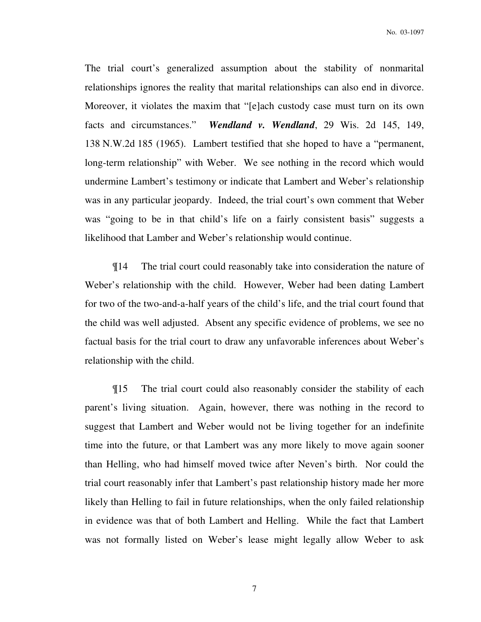No. 03-1097

The trial court's generalized assumption about the stability of nonmarital relationships ignores the reality that marital relationships can also end in divorce. Moreover, it violates the maxim that "[e]ach custody case must turn on its own facts and circumstances." *Wendland v. Wendland*, 29 Wis. 2d 145, 149, 138 N.W.2d 185 (1965). Lambert testified that she hoped to have a "permanent, long-term relationship" with Weber. We see nothing in the record which would undermine Lambert's testimony or indicate that Lambert and Weber's relationship was in any particular jeopardy. Indeed, the trial court's own comment that Weber was "going to be in that child's life on a fairly consistent basis" suggests a likelihood that Lamber and Weber's relationship would continue.

¶14 The trial court could reasonably take into consideration the nature of Weber's relationship with the child. However, Weber had been dating Lambert for two of the two-and-a-half years of the child's life, and the trial court found that the child was well adjusted. Absent any specific evidence of problems, we see no factual basis for the trial court to draw any unfavorable inferences about Weber's relationship with the child.

¶15 The trial court could also reasonably consider the stability of each parent's living situation. Again, however, there was nothing in the record to suggest that Lambert and Weber would not be living together for an indefinite time into the future, or that Lambert was any more likely to move again sooner than Helling, who had himself moved twice after Neven's birth. Nor could the trial court reasonably infer that Lambert's past relationship history made her more likely than Helling to fail in future relationships, when the only failed relationship in evidence was that of both Lambert and Helling. While the fact that Lambert was not formally listed on Weber's lease might legally allow Weber to ask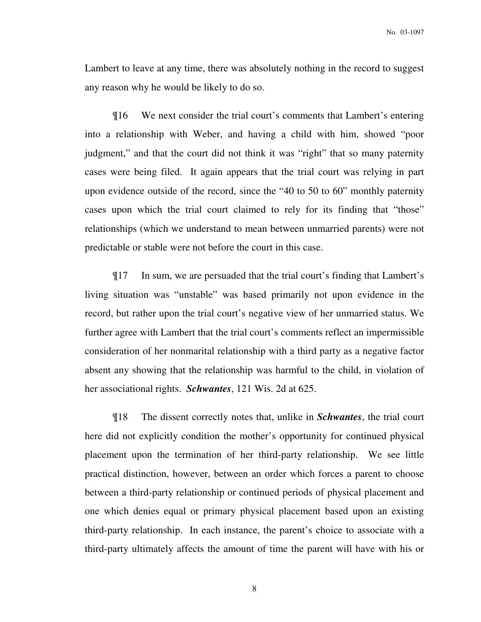Lambert to leave at any time, there was absolutely nothing in the record to suggest any reason why he would be likely to do so.

¶16 We next consider the trial court's comments that Lambert's entering into a relationship with Weber, and having a child with him, showed "poor judgment," and that the court did not think it was "right" that so many paternity cases were being filed. It again appears that the trial court was relying in part upon evidence outside of the record, since the "40 to 50 to 60" monthly paternity cases upon which the trial court claimed to rely for its finding that "those" relationships (which we understand to mean between unmarried parents) were not predictable or stable were not before the court in this case.

¶17 In sum, we are persuaded that the trial court's finding that Lambert's living situation was "unstable" was based primarily not upon evidence in the record, but rather upon the trial court's negative view of her unmarried status. We further agree with Lambert that the trial court's comments reflect an impermissible consideration of her nonmarital relationship with a third party as a negative factor absent any showing that the relationship was harmful to the child, in violation of her associational rights. *Schwantes*, 121 Wis. 2d at 625.

¶18 The dissent correctly notes that, unlike in *Schwantes*, the trial court here did not explicitly condition the mother's opportunity for continued physical placement upon the termination of her third-party relationship. We see little practical distinction, however, between an order which forces a parent to choose between a third-party relationship or continued periods of physical placement and one which denies equal or primary physical placement based upon an existing third-party relationship. In each instance, the parent's choice to associate with a third-party ultimately affects the amount of time the parent will have with his or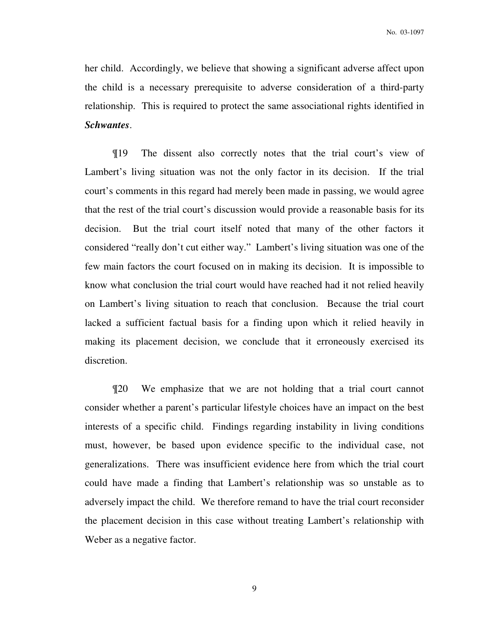her child. Accordingly, we believe that showing a significant adverse affect upon the child is a necessary prerequisite to adverse consideration of a third-party relationship. This is required to protect the same associational rights identified in *Schwantes*.

¶19 The dissent also correctly notes that the trial court's view of Lambert's living situation was not the only factor in its decision. If the trial court's comments in this regard had merely been made in passing, we would agree that the rest of the trial court's discussion would provide a reasonable basis for its decision. But the trial court itself noted that many of the other factors it considered "really don't cut either way." Lambert's living situation was one of the few main factors the court focused on in making its decision. It is impossible to know what conclusion the trial court would have reached had it not relied heavily on Lambert's living situation to reach that conclusion. Because the trial court lacked a sufficient factual basis for a finding upon which it relied heavily in making its placement decision, we conclude that it erroneously exercised its discretion.

¶20 We emphasize that we are not holding that a trial court cannot consider whether a parent's particular lifestyle choices have an impact on the best interests of a specific child. Findings regarding instability in living conditions must, however, be based upon evidence specific to the individual case, not generalizations. There was insufficient evidence here from which the trial court could have made a finding that Lambert's relationship was so unstable as to adversely impact the child. We therefore remand to have the trial court reconsider the placement decision in this case without treating Lambert's relationship with Weber as a negative factor.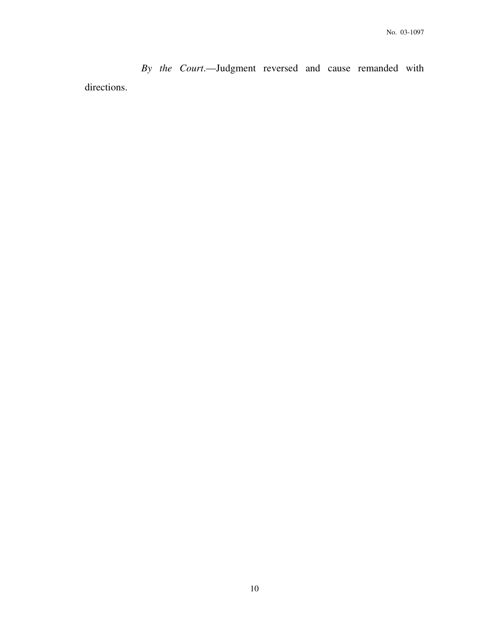*By the Court*.—Judgment reversed and cause remanded with directions.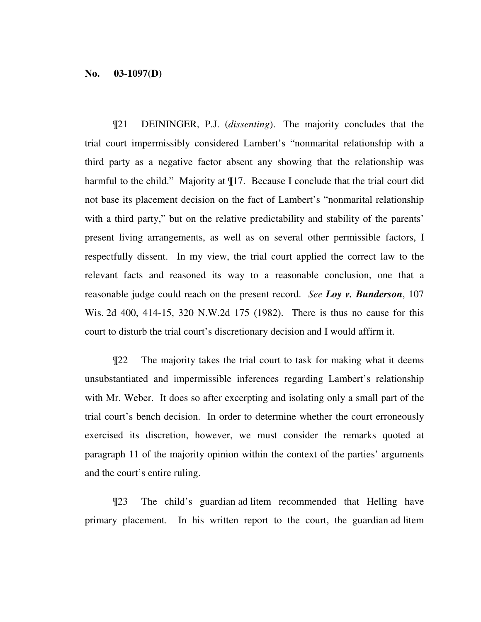### **No. 03-1097(D)**

¶21 DEININGER, P.J. (*dissenting*). The majority concludes that the trial court impermissibly considered Lambert's "nonmarital relationship with a third party as a negative factor absent any showing that the relationship was harmful to the child." Majority at ¶17. Because I conclude that the trial court did not base its placement decision on the fact of Lambert's "nonmarital relationship with a third party," but on the relative predictability and stability of the parents' present living arrangements, as well as on several other permissible factors, I respectfully dissent. In my view, the trial court applied the correct law to the relevant facts and reasoned its way to a reasonable conclusion, one that a reasonable judge could reach on the present record. *See Loy v. Bunderson*, 107 Wis. 2d 400, 414-15, 320 N.W.2d 175 (1982). There is thus no cause for this court to disturb the trial court's discretionary decision and I would affirm it.

¶22 The majority takes the trial court to task for making what it deems unsubstantiated and impermissible inferences regarding Lambert's relationship with Mr. Weber. It does so after excerpting and isolating only a small part of the trial court's bench decision. In order to determine whether the court erroneously exercised its discretion, however, we must consider the remarks quoted at paragraph 11 of the majority opinion within the context of the parties' arguments and the court's entire ruling.

¶23 The child's guardian ad litem recommended that Helling have primary placement. In his written report to the court, the guardian ad litem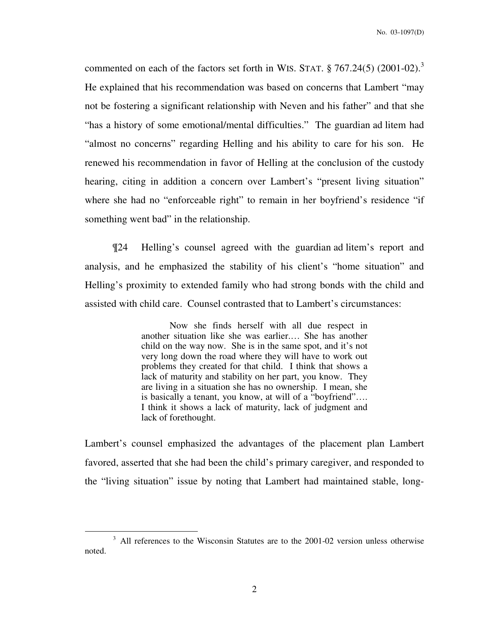commented on each of the factors set forth in WIS. STAT.  $\S 767.24(5)$  (2001-02).<sup>3</sup> He explained that his recommendation was based on concerns that Lambert "may not be fostering a significant relationship with Neven and his father" and that she "has a history of some emotional/mental difficulties." The guardian ad litem had "almost no concerns" regarding Helling and his ability to care for his son. He renewed his recommendation in favor of Helling at the conclusion of the custody hearing, citing in addition a concern over Lambert's "present living situation" where she had no "enforceable right" to remain in her boyfriend's residence "if something went bad" in the relationship.

¶24 Helling's counsel agreed with the guardian ad litem's report and analysis, and he emphasized the stability of his client's "home situation" and Helling's proximity to extended family who had strong bonds with the child and assisted with child care. Counsel contrasted that to Lambert's circumstances:

> Now she finds herself with all due respect in another situation like she was earlier.… She has another child on the way now. She is in the same spot, and it's not very long down the road where they will have to work out problems they created for that child. I think that shows a lack of maturity and stability on her part, you know. They are living in a situation she has no ownership. I mean, she is basically a tenant, you know, at will of a "boyfriend"…. I think it shows a lack of maturity, lack of judgment and lack of forethought.

Lambert's counsel emphasized the advantages of the placement plan Lambert favored, asserted that she had been the child's primary caregiver, and responded to the "living situation" issue by noting that Lambert had maintained stable, long-

 $\overline{a}$ 

<sup>&</sup>lt;sup>3</sup> All references to the Wisconsin Statutes are to the 2001-02 version unless otherwise noted.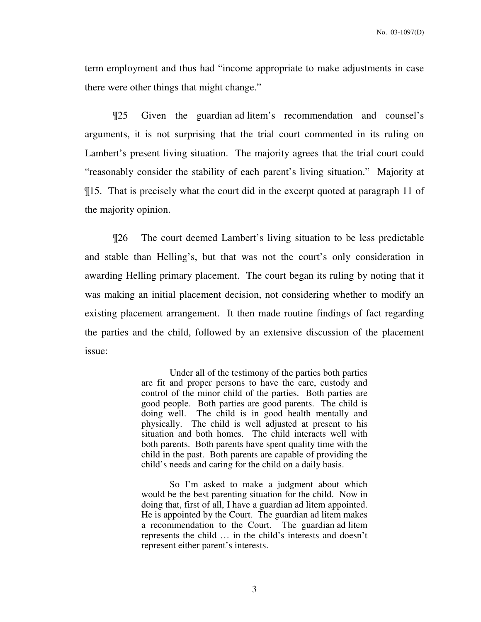term employment and thus had "income appropriate to make adjustments in case there were other things that might change."

¶25 Given the guardian ad litem's recommendation and counsel's arguments, it is not surprising that the trial court commented in its ruling on Lambert's present living situation. The majority agrees that the trial court could "reasonably consider the stability of each parent's living situation." Majority at ¶15. That is precisely what the court did in the excerpt quoted at paragraph 11 of the majority opinion.

¶26 The court deemed Lambert's living situation to be less predictable and stable than Helling's, but that was not the court's only consideration in awarding Helling primary placement. The court began its ruling by noting that it was making an initial placement decision, not considering whether to modify an existing placement arrangement. It then made routine findings of fact regarding the parties and the child, followed by an extensive discussion of the placement issue:

> Under all of the testimony of the parties both parties are fit and proper persons to have the care, custody and control of the minor child of the parties. Both parties are good people. Both parties are good parents. The child is doing well. The child is in good health mentally and physically. The child is well adjusted at present to his situation and both homes. The child interacts well with both parents. Both parents have spent quality time with the child in the past. Both parents are capable of providing the child's needs and caring for the child on a daily basis.

> So I'm asked to make a judgment about which would be the best parenting situation for the child. Now in doing that, first of all, I have a guardian ad litem appointed. He is appointed by the Court. The guardian ad litem makes a recommendation to the Court. The guardian ad litem represents the child … in the child's interests and doesn't represent either parent's interests.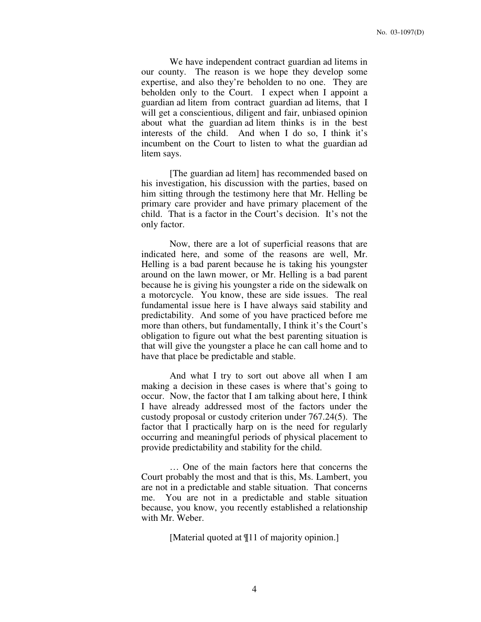We have independent contract guardian ad litems in our county. The reason is we hope they develop some expertise, and also they're beholden to no one. They are beholden only to the Court. I expect when I appoint a guardian ad litem from contract guardian ad litems, that I will get a conscientious, diligent and fair, unbiased opinion about what the guardian ad litem thinks is in the best interests of the child. And when I do so, I think it's incumbent on the Court to listen to what the guardian ad litem says.

[The guardian ad litem] has recommended based on his investigation, his discussion with the parties, based on him sitting through the testimony here that Mr. Helling be primary care provider and have primary placement of the child. That is a factor in the Court's decision. It's not the only factor.

Now, there are a lot of superficial reasons that are indicated here, and some of the reasons are well, Mr. Helling is a bad parent because he is taking his youngster around on the lawn mower, or Mr. Helling is a bad parent because he is giving his youngster a ride on the sidewalk on a motorcycle. You know, these are side issues. The real fundamental issue here is I have always said stability and predictability. And some of you have practiced before me more than others, but fundamentally, I think it's the Court's obligation to figure out what the best parenting situation is that will give the youngster a place he can call home and to have that place be predictable and stable.

And what I try to sort out above all when I am making a decision in these cases is where that's going to occur. Now, the factor that I am talking about here, I think I have already addressed most of the factors under the custody proposal or custody criterion under 767.24(5). The factor that I practically harp on is the need for regularly occurring and meaningful periods of physical placement to provide predictability and stability for the child.

… One of the main factors here that concerns the Court probably the most and that is this, Ms. Lambert, you are not in a predictable and stable situation. That concerns me. You are not in a predictable and stable situation because, you know, you recently established a relationship with Mr. Weber.

[Material quoted at ¶11 of majority opinion.]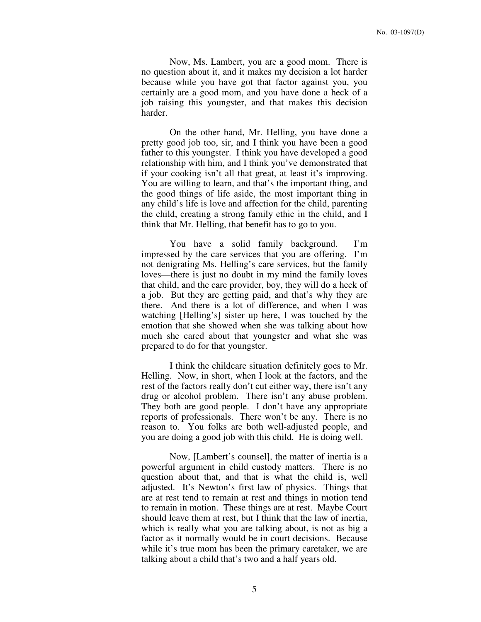Now, Ms. Lambert, you are a good mom. There is no question about it, and it makes my decision a lot harder because while you have got that factor against you, you certainly are a good mom, and you have done a heck of a job raising this youngster, and that makes this decision harder.

On the other hand, Mr. Helling, you have done a pretty good job too, sir, and I think you have been a good father to this youngster. I think you have developed a good relationship with him, and I think you've demonstrated that if your cooking isn't all that great, at least it's improving. You are willing to learn, and that's the important thing, and the good things of life aside, the most important thing in any child's life is love and affection for the child, parenting the child, creating a strong family ethic in the child, and I think that Mr. Helling, that benefit has to go to you.

You have a solid family background. I'm impressed by the care services that you are offering. I'm not denigrating Ms. Helling's care services, but the family loves—there is just no doubt in my mind the family loves that child, and the care provider, boy, they will do a heck of a job. But they are getting paid, and that's why they are there. And there is a lot of difference, and when I was watching [Helling's] sister up here, I was touched by the emotion that she showed when she was talking about how much she cared about that youngster and what she was prepared to do for that youngster.

I think the childcare situation definitely goes to Mr. Helling. Now, in short, when I look at the factors, and the rest of the factors really don't cut either way, there isn't any drug or alcohol problem. There isn't any abuse problem. They both are good people. I don't have any appropriate reports of professionals. There won't be any. There is no reason to. You folks are both well-adjusted people, and you are doing a good job with this child. He is doing well.

Now, [Lambert's counsel], the matter of inertia is a powerful argument in child custody matters. There is no question about that, and that is what the child is, well adjusted. It's Newton's first law of physics. Things that are at rest tend to remain at rest and things in motion tend to remain in motion. These things are at rest. Maybe Court should leave them at rest, but I think that the law of inertia, which is really what you are talking about, is not as big a factor as it normally would be in court decisions. Because while it's true mom has been the primary caretaker, we are talking about a child that's two and a half years old.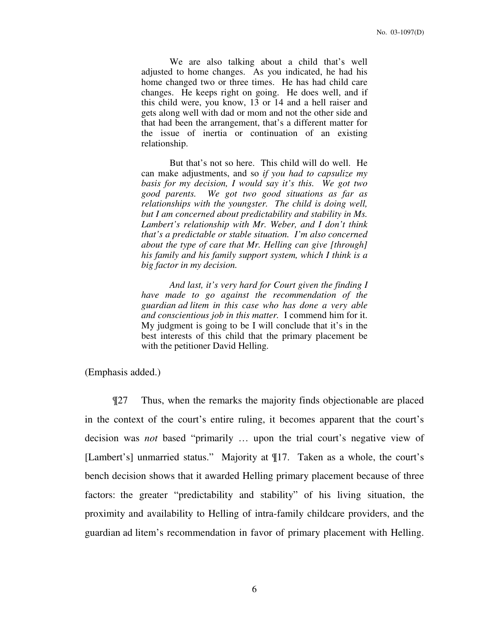We are also talking about a child that's well adjusted to home changes. As you indicated, he had his home changed two or three times. He has had child care changes. He keeps right on going. He does well, and if this child were, you know, 13 or 14 and a hell raiser and gets along well with dad or mom and not the other side and that had been the arrangement, that's a different matter for the issue of inertia or continuation of an existing relationship.

But that's not so here. This child will do well. He can make adjustments, and so *if you had to capsulize my basis for my decision, I would say it's this. We got two good parents. We got two good situations as far as relationships with the youngster. The child is doing well, but I am concerned about predictability and stability in Ms. Lambert's relationship with Mr. Weber, and I don't think that's a predictable or stable situation. I'm also concerned about the type of care that Mr. Helling can give [through] his family and his family support system, which I think is a big factor in my decision.* 

*And last, it's very hard for Court given the finding I have made to go against the recommendation of the guardian ad litem in this case who has done a very able and conscientious job in this matter.* I commend him for it. My judgment is going to be I will conclude that it's in the best interests of this child that the primary placement be with the petitioner David Helling.

(Emphasis added.)

¶27 Thus, when the remarks the majority finds objectionable are placed in the context of the court's entire ruling, it becomes apparent that the court's decision was *not* based "primarily … upon the trial court's negative view of [Lambert's] unmarried status." Majority at ¶17. Taken as a whole, the court's bench decision shows that it awarded Helling primary placement because of three factors: the greater "predictability and stability" of his living situation, the proximity and availability to Helling of intra-family childcare providers, and the guardian ad litem's recommendation in favor of primary placement with Helling.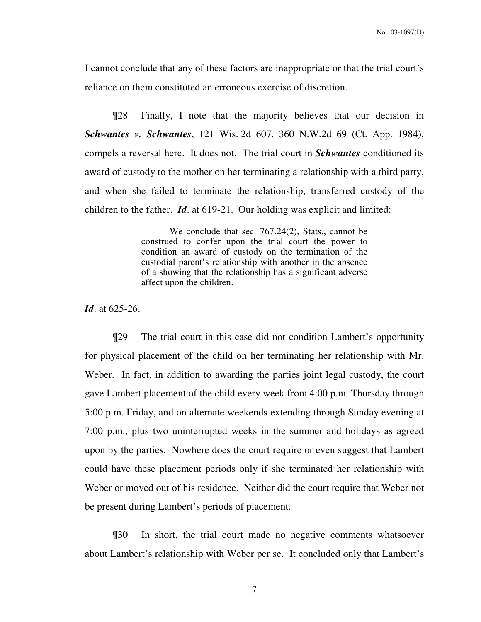I cannot conclude that any of these factors are inappropriate or that the trial court's reliance on them constituted an erroneous exercise of discretion.

¶28 Finally, I note that the majority believes that our decision in *Schwantes v. Schwantes*, 121 Wis. 2d 607, 360 N.W.2d 69 (Ct. App. 1984), compels a reversal here. It does not. The trial court in *Schwantes* conditioned its award of custody to the mother on her terminating a relationship with a third party, and when she failed to terminate the relationship, transferred custody of the children to the father. *Id*. at 619-21. Our holding was explicit and limited:

> We conclude that sec. 767.24(2), Stats., cannot be construed to confer upon the trial court the power to condition an award of custody on the termination of the custodial parent's relationship with another in the absence of a showing that the relationship has a significant adverse affect upon the children.

*Id*. at 625-26.

¶29 The trial court in this case did not condition Lambert's opportunity for physical placement of the child on her terminating her relationship with Mr. Weber. In fact, in addition to awarding the parties joint legal custody, the court gave Lambert placement of the child every week from 4:00 p.m. Thursday through 5:00 p.m. Friday, and on alternate weekends extending through Sunday evening at 7:00 p.m., plus two uninterrupted weeks in the summer and holidays as agreed upon by the parties. Nowhere does the court require or even suggest that Lambert could have these placement periods only if she terminated her relationship with Weber or moved out of his residence. Neither did the court require that Weber not be present during Lambert's periods of placement.

¶30 In short, the trial court made no negative comments whatsoever about Lambert's relationship with Weber per se. It concluded only that Lambert's